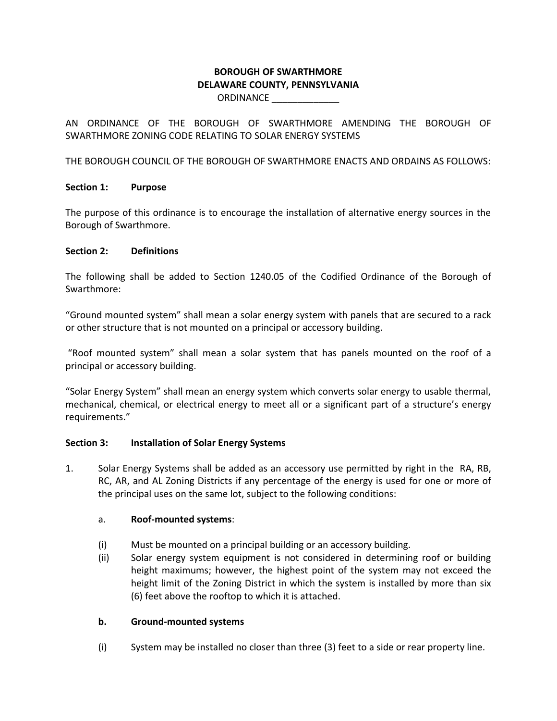# **BOROUGH OF SWARTHMORE DELAWARE COUNTY, PENNSYLVANIA** ORDINANCE \_\_\_\_\_\_\_\_\_\_\_\_\_

AN ORDINANCE OF THE BOROUGH OF SWARTHMORE AMENDING THE BOROUGH OF SWARTHMORE ZONING CODE RELATING TO SOLAR ENERGY SYSTEMS

THE BOROUGH COUNCIL OF THE BOROUGH OF SWARTHMORE ENACTS AND ORDAINS AS FOLLOWS:

# **Section 1: Purpose**

The purpose of this ordinance is to encourage the installation of alternative energy sources in the Borough of Swarthmore.

### **Section 2: Definitions**

The following shall be added to Section 1240.05 of the Codified Ordinance of the Borough of Swarthmore:

"Ground mounted system" shall mean a solar energy system with panels that are secured to a rack or other structure that is not mounted on a principal or accessory building.

"Roof mounted system" shall mean a solar system that has panels mounted on the roof of a principal or accessory building.

"Solar Energy System" shall mean an energy system which converts solar energy to usable thermal, mechanical, chemical, or electrical energy to meet all or a significant part of a structure's energy requirements."

### **Section 3: Installation of Solar Energy Systems**

1. Solar Energy Systems shall be added as an accessory use permitted by right in the RA, RB, RC, AR, and AL Zoning Districts if any percentage of the energy is used for one or more of the principal uses on the same lot, subject to the following conditions:

# a. **Roof-mounted systems**:

- (i) Must be mounted on a principal building or an accessory building.
- (ii) Solar energy system equipment is not considered in determining roof or building height maximums; however, the highest point of the system may not exceed the height limit of the Zoning District in which the system is installed by more than six (6) feet above the rooftop to which it is attached.

### **b. Ground-mounted systems**

(i) System may be installed no closer than three (3) feet to a side or rear property line.